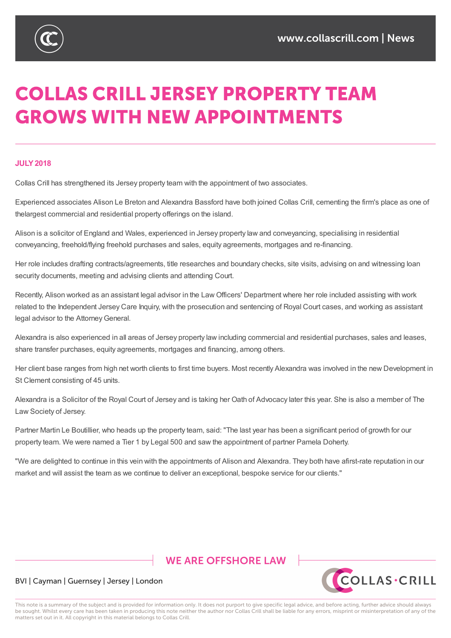

# **COLLAS CRILL JERSEY PROPERTY TEAM GROWS WITH NEW APPOINTMENTS**

#### **JULY2018**

Collas Crill has strengthened its Jersey property team with the appointment of two associates.

Experienced associates Alison Le Breton and Alexandra Bassford have both joined Collas Crill, cementing the firm's place as one of thelargest commercial and residential property offerings on the island.

Alison is a solicitor of England and Wales, experienced in Jersey property law and conveyancing, specialising in residential conveyancing, freehold/flying freehold purchases and sales, equity agreements, mortgages and re-financing.

Her role includes drafting contracts/agreements, title researches and boundary checks, site visits, advising on and witnessing loan security documents, meeting and advising clients and attending Court.

Recently, Alison worked as an assistant legal advisor in the Law Officers' Department where her role included assisting with work related to the Independent Jersey Care Inquiry, with the prosecution and sentencing of Royal Court cases, and working as assistant legal advisor to the Attorney General.

Alexandra is also experienced in all areas of Jersey property law including commercial and residential purchases, sales and leases, share transfer purchases, equity agreements, mortgages and financing, among others.

Her client base ranges from high net worth clients to first time buyers. Most recently Alexandra was involved in the new Development in St Clement consisting of 45 units.

Alexandra is a Solicitor of the Royal Court of Jersey and is taking her Oath of Advocacy later this year. She is also a member of The Law Society of Jersey.

Partner Martin Le Boutillier, who heads up the property team, said: "The last year has been a significant period of growth for our property team. We were named a Tier 1 by Legal 500 and saw the appointment of partner Pamela Doherty.

"We are delighted to continue in this vein with the appointments of Alison and Alexandra. They both have afirst-rate reputation in our market and will assist the team as we continue to deliver an exceptional, bespoke service for our clients."

## **WE ARE OFFSHORE I AW**



#### BVI | Cayman | Guernsey | Jersey | London

This note is a summary of the subject and is provided for information only. It does not purport to give specific legal advice, and before acting, further advice should always be sought. Whilst every care has been taken in producing this note neither the author nor Collas Crill shall be liable for any errors, misprint or misinterpretation of any of the matters set out in it. All copyright in this material belongs to Collas Crill.